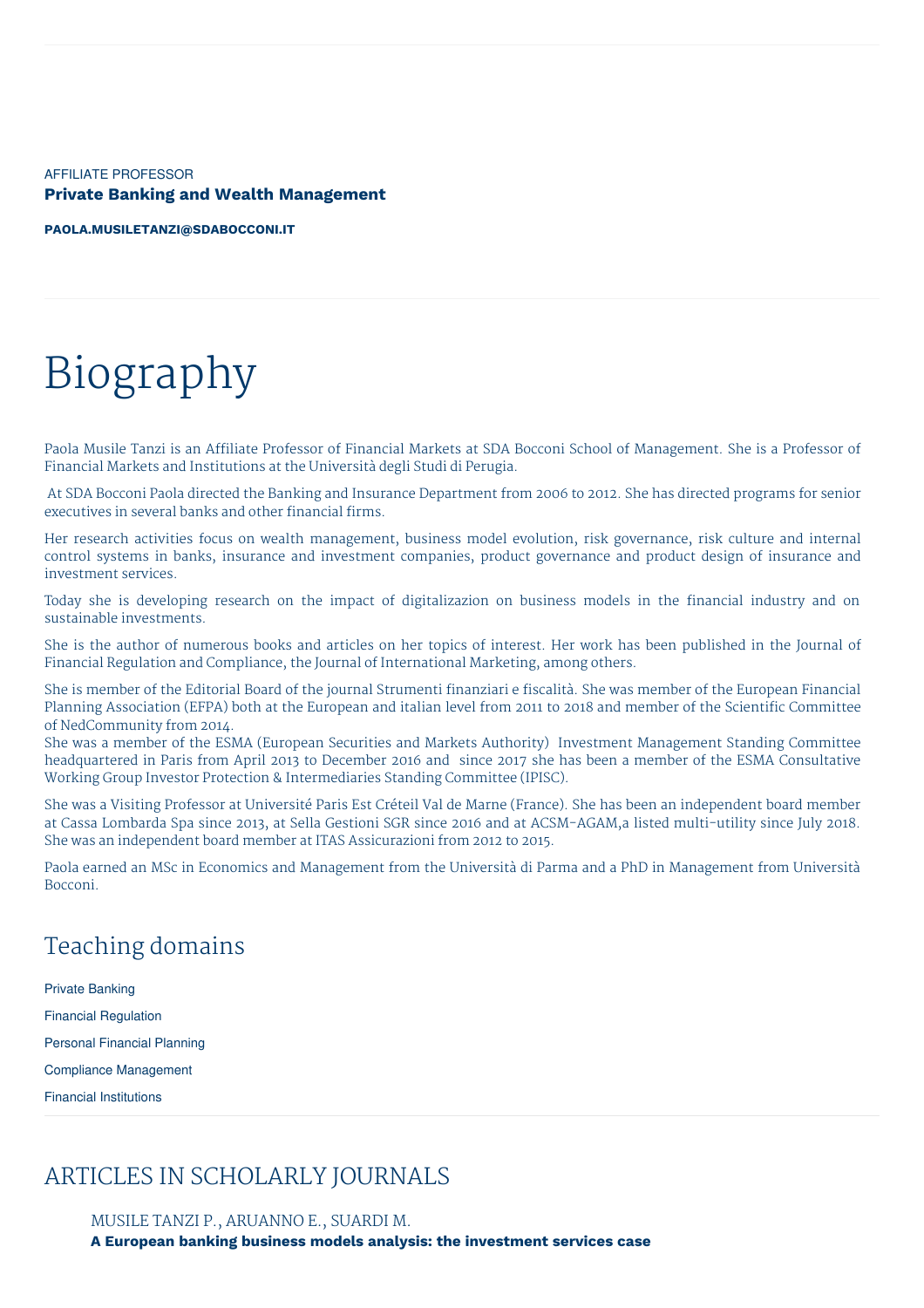AFFILIATE PROFESSOR **Private Banking and Wealth Management**

**[PAOLA.MUSILETANZI@SDABOCCONI.IT](mailto:paola.musiletanzi@sdabocconi.it)**

# Biography

Paola Musile Tanzi is an Affiliate Professor of Financial Markets at SDA Bocconi School of Management. She is a Professor of Financial Markets and Institutions at the Università degli Studi di Perugia.

At SDA Bocconi Paola directed the Banking and Insurance Department from 2006 to 2012. She has directed programs for senior executives in several banks and other financial firms.

Her research activities focus on wealth management, business model evolution, risk governance, risk culture and internal control systems in banks, insurance and investment companies, product governance and product design of insurance and investment services.

Today she is developing research on the impact of digitalizazion on business models in the financial industry and on sustainable investments.

She is the author of numerous books and articles on her topics of interest. Her work has been published in the Journal of Financial Regulation and Compliance, the Journal of International Marketing, among others.

She is member of the Editorial Board of the journal Strumenti finanziari e fiscalità. She was member of the European Financial Planning Association (EFPA) both at the European and italian level from 2011 to 2018 and member of the Scientific Committee of NedCommunity from 2014.

She was a member of the ESMA (European Securities and Markets Authority) Investment Management Standing Committee headquartered in Paris from April 2013 to December 2016 and since 2017 she has been a member of the ESMA Consultative Working Group Investor Protection & Intermediaries Standing Committee (IPISC).

She was a Visiting Professor at Université Paris Est Créteil Val de Marne (France). She has been an independent board member at Cassa Lombarda Spa since 2013, at Sella Gestioni SGR since 2016 and at ACSM-AGAM,a listed multi-utility since July 2018. She was an independent board member at ITAS Assicurazioni from 2012 to 2015.

Paola earned an MSc in Economics and Management from the Università di Parma and a PhD in Management from Università Bocconi.

# Teaching domains

Private Banking Financial Regulation Personal Financial Planning Compliance Management Financial Institutions

# ARTICLES IN SCHOLARLY JOURNALS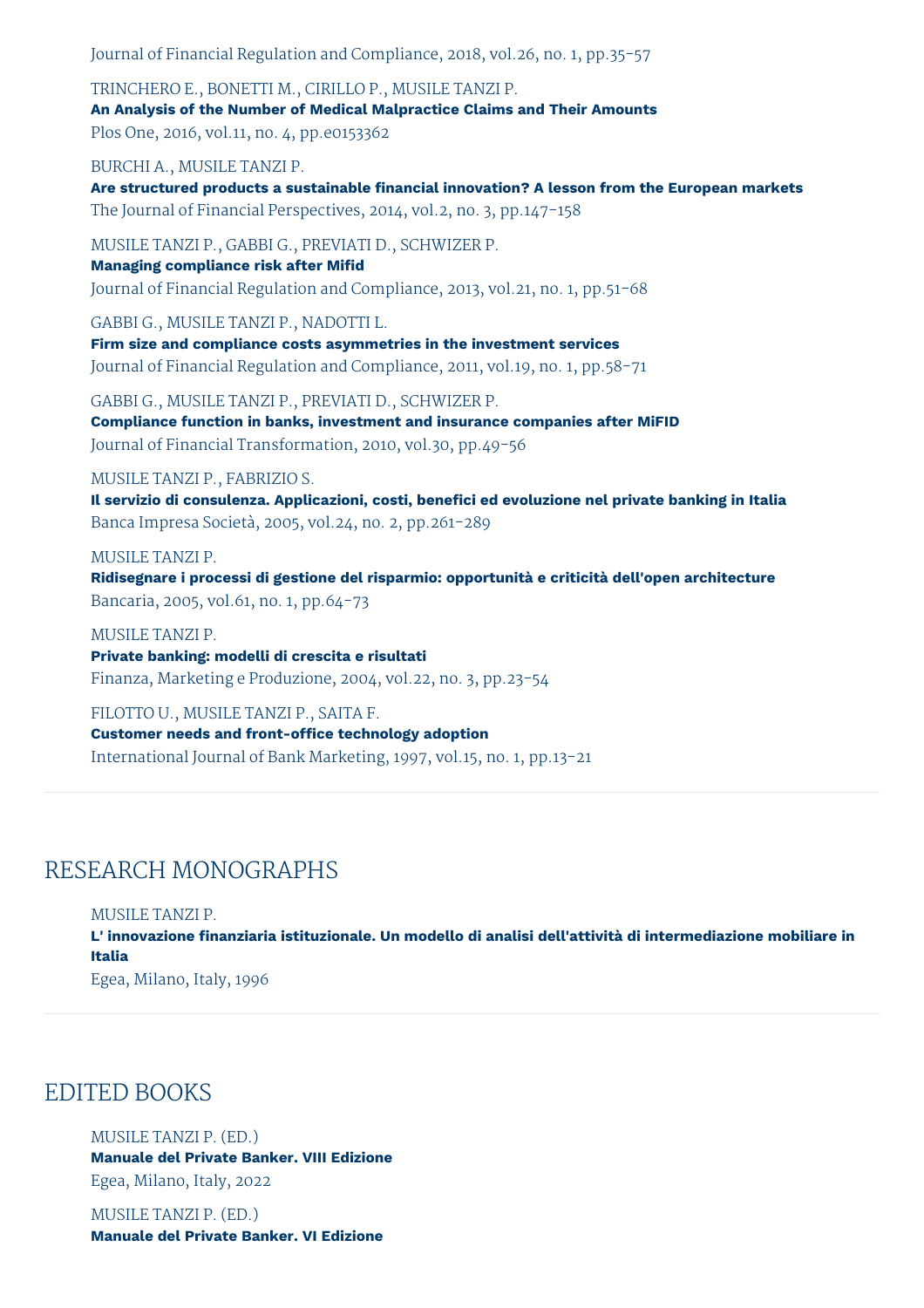Journal of Financial Regulation and Compliance, 2018, vol.26, no. 1, pp.35-57

TRINCHERO E., BONETTI M., CIRILLO P., MUSILE TANZI P.

**An Analysis of the Number of Medical Malpractice Claims and Their Amounts**

Plos One, 2016, vol.11, no. 4, pp.e0153362

BURCHI A., MUSILE TANZI P.

**Are structured products a sustainable financial innovation? A lesson from the European markets** The Journal of Financial Perspectives, 2014, vol.2, no. 3, pp.147-158

MUSILE TANZI P., GABBI G., PREVIATI D., SCHWIZER P.

**Managing compliance risk after Mifid** Journal of Financial Regulation and Compliance, 2013, vol.21, no. 1, pp.51-68

GABBI G., MUSILE TANZI P., NADOTTI L. **Firm size and compliance costs asymmetries in the investment services** Journal of Financial Regulation and Compliance, 2011, vol.19, no. 1, pp.58-71

GABBI G., MUSILE TANZI P., PREVIATI D., SCHWIZER P. **Compliance function in banks, investment and insurance companies after MiFID** Journal of Financial Transformation, 2010, vol.30, pp.49-56

#### MUSILE TANZI P., FABRIZIO S.

**Il servizio di consulenza. Applicazioni, costi, benefici ed evoluzione nel private banking in Italia** Banca Impresa Società, 2005, vol.24, no. 2, pp.261-289

MUSILE TANZI P.

**Ridisegnare i processi di gestione del risparmio: opportunità e criticità dell'open architecture** Bancaria, 2005, vol.61, no. 1, pp.64-73

MUSILE TANZI P.

**Private banking: modelli di crescita e risultati** Finanza, Marketing e Produzione, 2004, vol.22, no. 3, pp.23-54

FILOTTO U., MUSILE TANZI P., SAITA F. **Customer needs and front-office technology adoption** International Journal of Bank Marketing, 1997, vol.15, no. 1, pp.13-21

# RESEARCH MONOGRAPHS

MUSILE TANZI P.

**L' innovazione finanziaria istituzionale. Un modello di analisi dell'attività di intermediazione mobiliare in Italia** Egea, Milano, Italy, 1996

## EDITED BOOKS

MUSILE TANZI P. (ED.) **Manuale del Private Banker. VIII Edizione**

Egea, Milano, Italy, 2022

MUSILE TANZI P. (ED.) **Manuale del Private Banker. VI Edizione**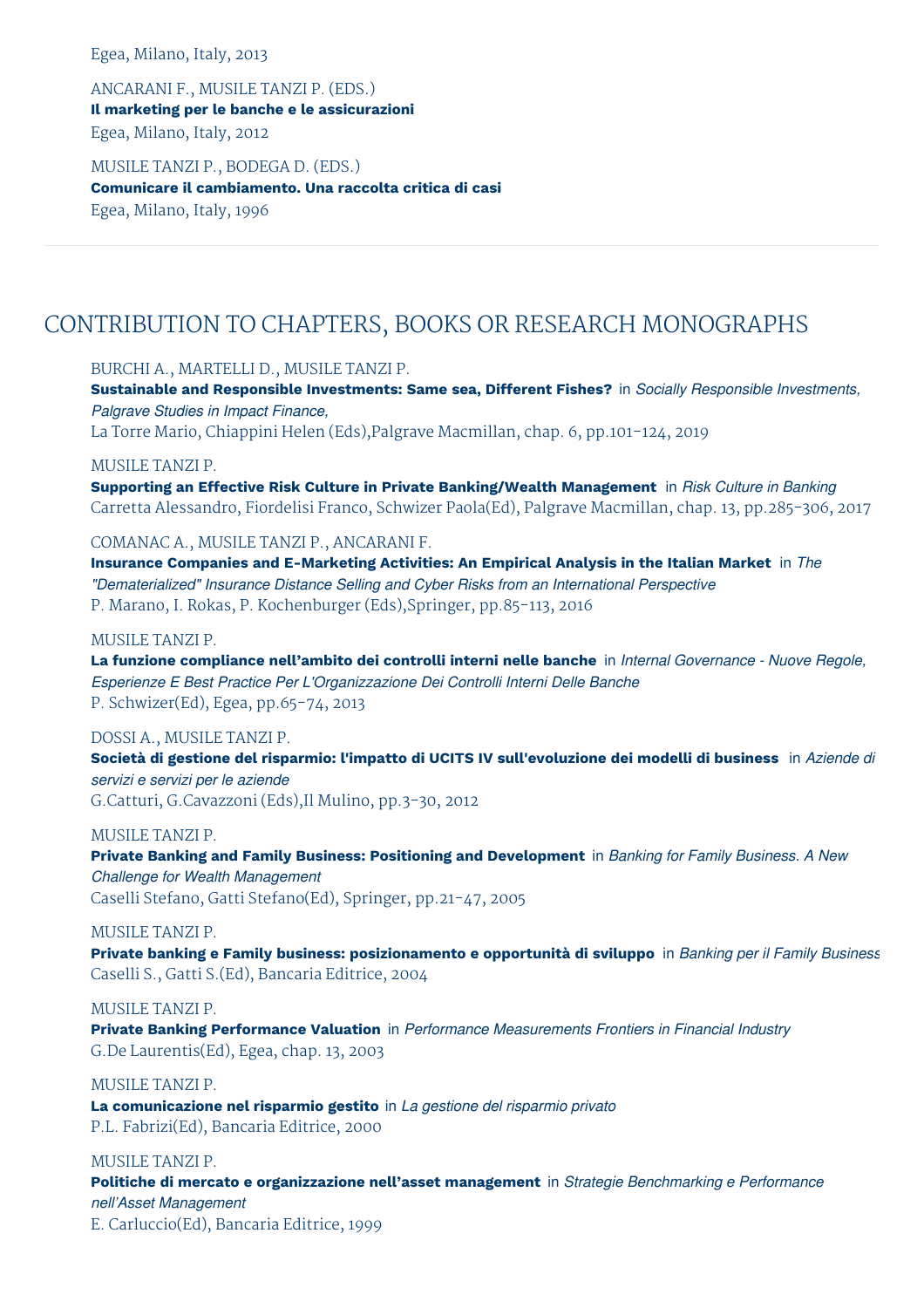Egea, Milano, Italy, 2013

ANCARANI F., MUSILE TANZI P. (EDS.) **Il marketing per le banche e le assicurazioni** Egea, Milano, Italy, 2012

MUSILE TANZI P., BODEGA D. (EDS.) **Comunicare il cambiamento. Una raccolta critica di casi** Egea, Milano, Italy, 1996

# CONTRIBUTION TO CHAPTERS, BOOKS OR RESEARCH MONOGRAPHS

BURCHI A., MARTELLI D., MUSILE TANZI P.

**Sustainable and Responsible Investments: Same sea, Different Fishes?** in *Socially Responsible Investments, Palgrave Studies in Impact Finance,*

La Torre Mario, Chiappini Helen (Eds),Palgrave Macmillan, chap. 6, pp.101-124, 2019

MUSILE TANZI P.

**Supporting an Effective Risk Culture in Private Banking/Wealth Management** in *Risk Culture in Banking* Carretta Alessandro, Fiordelisi Franco, Schwizer Paola(Ed), Palgrave Macmillan, chap. 13, pp.285-306, 2017

COMANAC A., MUSILE TANZI P., ANCARANI F.

**Insurance Companies and E-Marketing Activities: An Empirical Analysis in the Italian Market** in *The "Dematerialized" Insurance Distance Selling and Cyber Risks from an International Perspective* P. Marano, I. Rokas, P. Kochenburger (Eds),Springer, pp.85-113, 2016

MUSILE TANZI P.

**La funzione compliance nell'ambito dei controlli interni nelle banche** in *Internal Governance - Nuove Regole, Esperienze E Best Practice Per L'Organizzazione Dei Controlli Interni Delle Banche* P. Schwizer(Ed), Egea, pp.65-74, 2013

DOSSI A., MUSILE TANZI P.

**Società di gestione del risparmio: l'impatto di UCITS IV sull'evoluzione dei modelli di business** in *Aziende di servizi e servizi per le aziende*

G.Catturi, G.Cavazzoni (Eds),Il Mulino, pp.3-30, 2012

MUSILE TANZI P.

**Private Banking and Family Business: Positioning and Development** in *Banking for Family Business. A New Challenge for Wealth Management* Caselli Stefano, Gatti Stefano(Ed), Springer, pp.21-47, 2005

MUSILE TANZI P.

**Private banking e Family business: posizionamento e opportunità di sviluppo** in *Banking per il Family Business* Caselli S., Gatti S.(Ed), Bancaria Editrice, 2004

MUSILE TANZI P. **Private Banking Performance Valuation** in *Performance Measurements Frontiers in Financial Industry*

G.De Laurentis(Ed), Egea, chap. 13, 2003

MUSILE TANZI P.

**La comunicazione nel risparmio gestito** in *La gestione del risparmio privato* P.L. Fabrizi(Ed), Bancaria Editrice, 2000

MUSILE TANZI P.

**Politiche di mercato e organizzazione nell'asset management** in *Strategie Benchmarking e Performance nell'Asset Management*

E. Carluccio(Ed), Bancaria Editrice, 1999